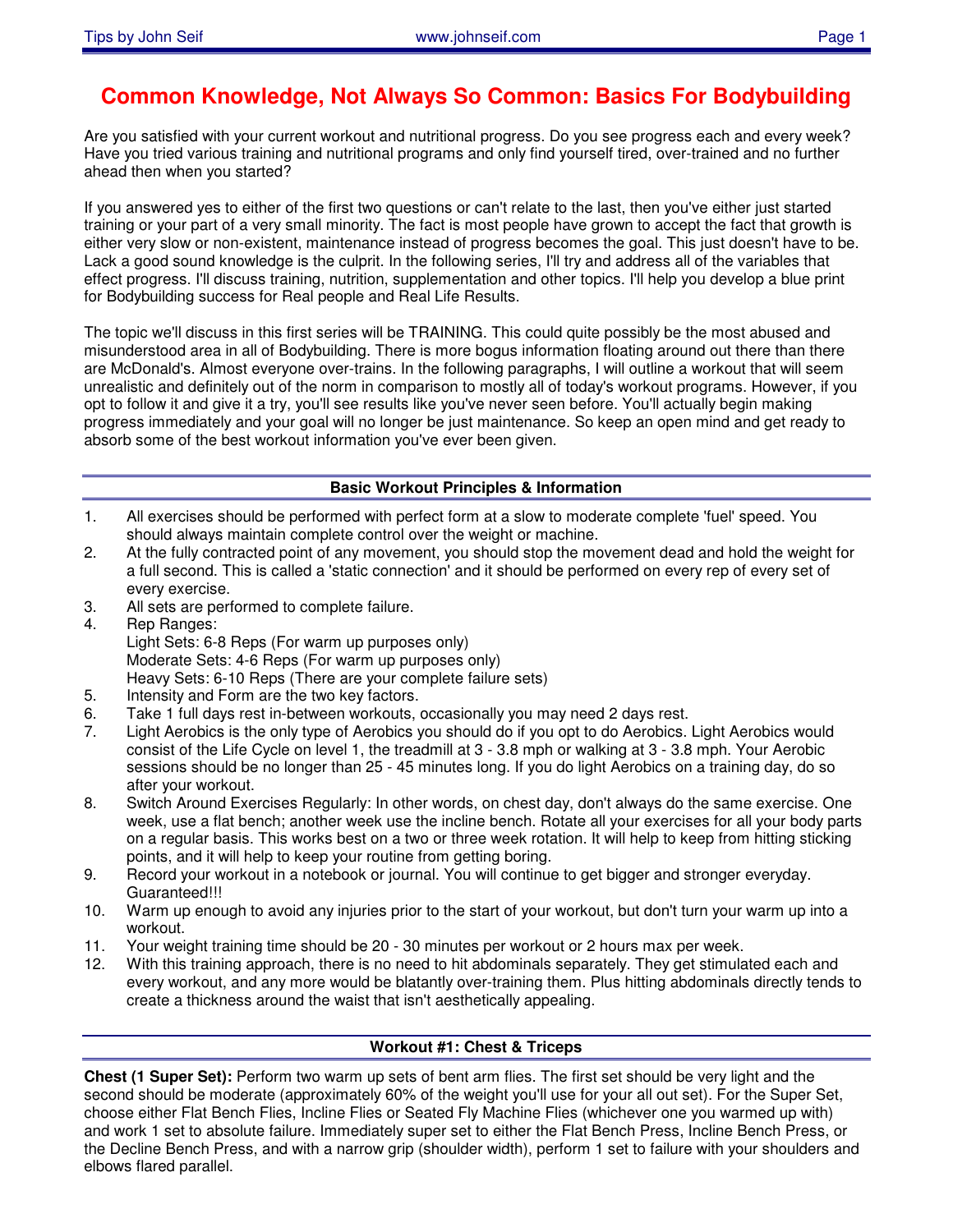# **Common Knowledge, Not Always So Common: Basics For Bodybuilding**

Are you satisfied with your current workout and nutritional progress. Do you see progress each and every week? Have you tried various training and nutritional programs and only find yourself tired, over-trained and no further ahead then when you started?

If you answered yes to either of the first two questions or can't relate to the last, then you've either just started training or your part of a very small minority. The fact is most people have grown to accept the fact that growth is either very slow or non-existent, maintenance instead of progress becomes the goal. This just doesn't have to be. Lack a good sound knowledge is the culprit. In the following series, I'll try and address all of the variables that effect progress. I'll discuss training, nutrition, supplementation and other topics. I'll help you develop a blue print for Bodybuilding success for Real people and Real Life Results.

The topic we'll discuss in this first series will be TRAINING. This could quite possibly be the most abused and misunderstood area in all of Bodybuilding. There is more bogus information floating around out there than there are McDonald's. Almost everyone over-trains. In the following paragraphs, I will outline a workout that will seem unrealistic and definitely out of the norm in comparison to mostly all of today's workout programs. However, if you opt to follow it and give it a try, you'll see results like you've never seen before. You'll actually begin making progress immediately and your goal will no longer be just maintenance. So keep an open mind and get ready to absorb some of the best workout information you've ever been given.

### **Basic Workout Principles & Information**

- 1. All exercises should be performed with perfect form at a slow to moderate complete 'fuel' speed. You should always maintain complete control over the weight or machine.
- 2. At the fully contracted point of any movement, you should stop the movement dead and hold the weight for a full second. This is called a 'static connection' and it should be performed on every rep of every set of every exercise.
- 3. All sets are performed to complete failure.
- 4. Rep Ranges: Light Sets: 6-8 Reps (For warm up purposes only) Moderate Sets: 4-6 Reps (For warm up purposes only) Heavy Sets: 6-10 Reps (There are your complete failure sets)
- 5. Intensity and Form are the two key factors.
- 6. Take 1 full days rest in-between workouts, occasionally you may need 2 days rest.
- 7. Light Aerobics is the only type of Aerobics you should do if you opt to do Aerobics. Light Aerobics would consist of the Life Cycle on level 1, the treadmill at 3 - 3.8 mph or walking at 3 - 3.8 mph. Your Aerobic sessions should be no longer than 25 - 45 minutes long. If you do light Aerobics on a training day, do so after your workout.
- 8. Switch Around Exercises Regularly: In other words, on chest day, don't always do the same exercise. One week, use a flat bench; another week use the incline bench. Rotate all your exercises for all your body parts on a regular basis. This works best on a two or three week rotation. It will help to keep from hitting sticking points, and it will help to keep your routine from getting boring.
- 9. Record your workout in a notebook or journal. You will continue to get bigger and stronger everyday. Guaranteed!!!
- 10. Warm up enough to avoid any injuries prior to the start of your workout, but don't turn your warm up into a workout.
- 11. Your weight training time should be 20 30 minutes per workout or 2 hours max per week.
- 12. With this training approach, there is no need to hit abdominals separately. They get stimulated each and every workout, and any more would be blatantly over-training them. Plus hitting abdominals directly tends to create a thickness around the waist that isn't aesthetically appealing.

# **Workout #1: Chest & Triceps**

**Chest (1 Super Set):** Perform two warm up sets of bent arm flies. The first set should be very light and the second should be moderate (approximately 60% of the weight you'll use for your all out set). For the Super Set, choose either Flat Bench Flies, Incline Flies or Seated Fly Machine Flies (whichever one you warmed up with) and work 1 set to absolute failure. Immediately super set to either the Flat Bench Press, Incline Bench Press, or the Decline Bench Press, and with a narrow grip (shoulder width), perform 1 set to failure with your shoulders and elbows flared parallel.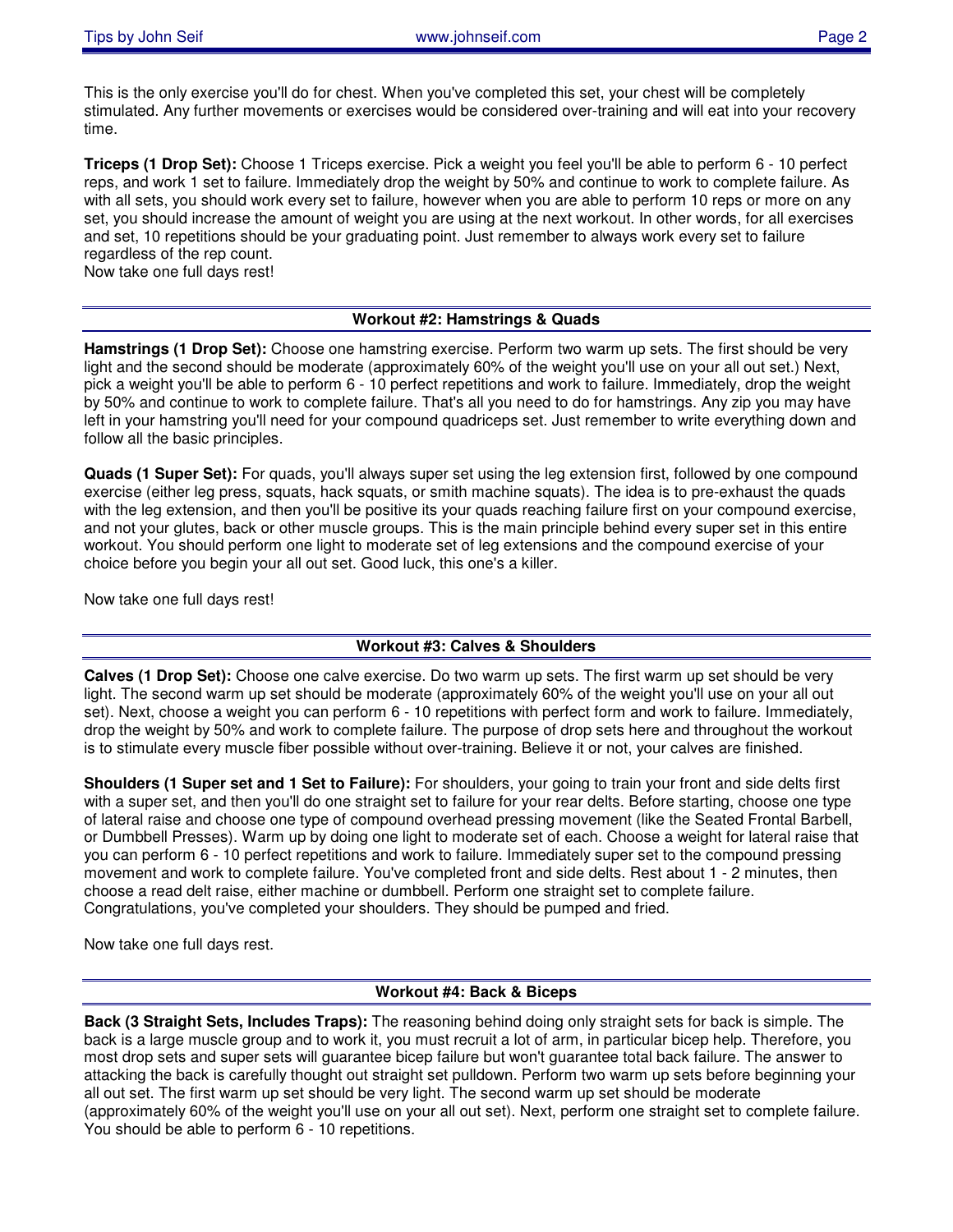This is the only exercise you'll do for chest. When you've completed this set, your chest will be completely stimulated. Any further movements or exercises would be considered over-training and will eat into your recovery time.

**Triceps (1 Drop Set):** Choose 1 Triceps exercise. Pick a weight you feel you'll be able to perform 6 - 10 perfect reps, and work 1 set to failure. Immediately drop the weight by 50% and continue to work to complete failure. As with all sets, you should work every set to failure, however when you are able to perform 10 reps or more on any set, you should increase the amount of weight you are using at the next workout. In other words, for all exercises and set, 10 repetitions should be your graduating point. Just remember to always work every set to failure regardless of the rep count.

Now take one full days rest!

#### **Workout #2: Hamstrings & Quads**

**Hamstrings (1 Drop Set):** Choose one hamstring exercise. Perform two warm up sets. The first should be very light and the second should be moderate (approximately 60% of the weight you'll use on your all out set.) Next, pick a weight you'll be able to perform 6 - 10 perfect repetitions and work to failure. Immediately, drop the weight by 50% and continue to work to complete failure. That's all you need to do for hamstrings. Any zip you may have left in your hamstring you'll need for your compound quadriceps set. Just remember to write everything down and follow all the basic principles.

**Quads (1 Super Set):** For quads, you'll always super set using the leg extension first, followed by one compound exercise (either leg press, squats, hack squats, or smith machine squats). The idea is to pre-exhaust the quads with the leg extension, and then you'll be positive its your quads reaching failure first on your compound exercise, and not your glutes, back or other muscle groups. This is the main principle behind every super set in this entire workout. You should perform one light to moderate set of leg extensions and the compound exercise of your choice before you begin your all out set. Good luck, this one's a killer.

Now take one full days rest!

# **Workout #3: Calves & Shoulders**

**Calves (1 Drop Set):** Choose one calve exercise. Do two warm up sets. The first warm up set should be very light. The second warm up set should be moderate (approximately 60% of the weight you'll use on your all out set). Next, choose a weight you can perform 6 - 10 repetitions with perfect form and work to failure. Immediately, drop the weight by 50% and work to complete failure. The purpose of drop sets here and throughout the workout is to stimulate every muscle fiber possible without over-training. Believe it or not, your calves are finished.

**Shoulders (1 Super set and 1 Set to Failure):** For shoulders, your going to train your front and side delts first with a super set, and then you'll do one straight set to failure for your rear delts. Before starting, choose one type of lateral raise and choose one type of compound overhead pressing movement (like the Seated Frontal Barbell, or Dumbbell Presses). Warm up by doing one light to moderate set of each. Choose a weight for lateral raise that you can perform 6 - 10 perfect repetitions and work to failure. Immediately super set to the compound pressing movement and work to complete failure. You've completed front and side delts. Rest about 1 - 2 minutes, then choose a read delt raise, either machine or dumbbell. Perform one straight set to complete failure. Congratulations, you've completed your shoulders. They should be pumped and fried.

Now take one full days rest.

### **Workout #4: Back & Biceps**

**Back (3 Straight Sets, Includes Traps):** The reasoning behind doing only straight sets for back is simple. The back is a large muscle group and to work it, you must recruit a lot of arm, in particular bicep help. Therefore, you most drop sets and super sets will guarantee bicep failure but won't guarantee total back failure. The answer to attacking the back is carefully thought out straight set pulldown. Perform two warm up sets before beginning your all out set. The first warm up set should be very light. The second warm up set should be moderate (approximately 60% of the weight you'll use on your all out set). Next, perform one straight set to complete failure. You should be able to perform 6 - 10 repetitions.